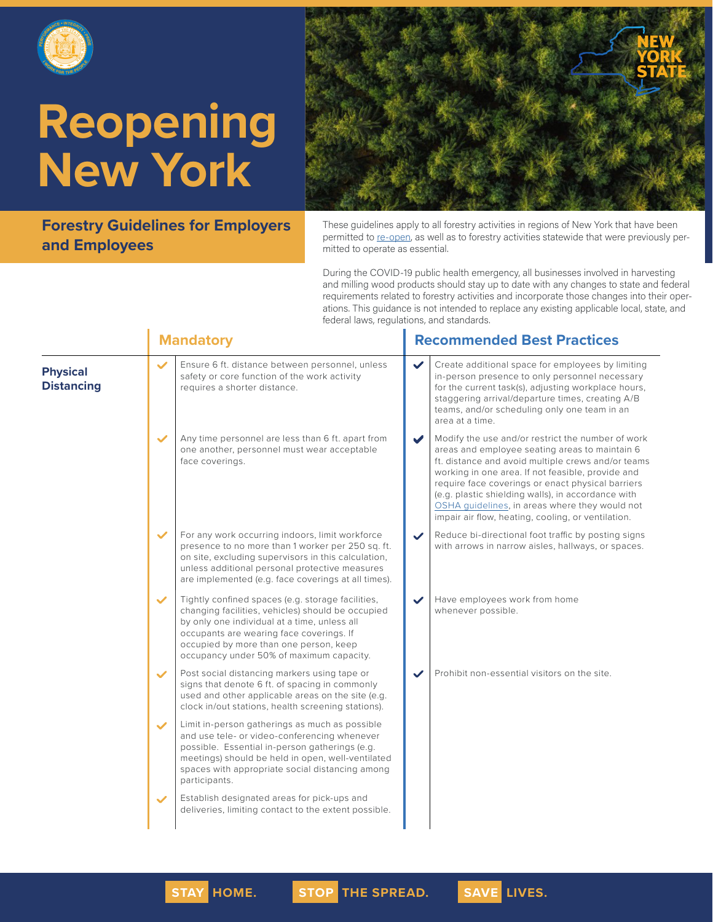



**Forestry Guidelines for Employers and Employees**

These guidelines apply to all forestry activities in regions of New York that have been permitted to [re-open,](https://forward.ny.gov/regional-monitoring-dashboard) as well as to forestry activities statewide that were previously permitted to operate as essential.

During the COVID-19 public health emergency, all businesses involved in harvesting and milling wood products should stay up to date with any changes to state and federal requirements related to forestry activities and incorporate those changes into their operations. This guidance is not intended to replace any existing applicable local, state, and federal laws, regulations, and standards.

|                                      |              | <b>Mandatory</b>                                                                                                                                                                                                                                                                         |                       | <b>Recommended Best Practices</b>                                                                                                                                                                                                                                                                                                                                                                                                 |  |  |
|--------------------------------------|--------------|------------------------------------------------------------------------------------------------------------------------------------------------------------------------------------------------------------------------------------------------------------------------------------------|-----------------------|-----------------------------------------------------------------------------------------------------------------------------------------------------------------------------------------------------------------------------------------------------------------------------------------------------------------------------------------------------------------------------------------------------------------------------------|--|--|
| <b>Physical</b><br><b>Distancing</b> | $\checkmark$ | Ensure 6 ft. distance between personnel, unless<br>safety or core function of the work activity<br>requires a shorter distance.                                                                                                                                                          | $\checkmark$          | Create additional space for employees by limiting<br>in-person presence to only personnel necessary<br>for the current task(s), adjusting workplace hours,<br>staggering arrival/departure times, creating A/B<br>teams, and/or scheduling only one team in an<br>area at a time.                                                                                                                                                 |  |  |
|                                      | $\checkmark$ | Any time personnel are less than 6 ft. apart from<br>one another, personnel must wear acceptable<br>face coverings.                                                                                                                                                                      | $\blacktriangleright$ | Modify the use and/or restrict the number of work<br>areas and employee seating areas to maintain 6<br>ft. distance and avoid multiple crews and/or teams<br>working in one area. If not feasible, provide and<br>require face coverings or enact physical barriers<br>(e.g. plastic shielding walls), in accordance with<br>OSHA quidelines, in areas where they would not<br>impair air flow, heating, cooling, or ventilation. |  |  |
|                                      | $\checkmark$ | For any work occurring indoors, limit workforce<br>presence to no more than 1 worker per 250 sq. ft.<br>on site, excluding supervisors in this calculation,<br>unless additional personal protective measures<br>are implemented (e.g. face coverings at all times).                     | $\checkmark$          | Reduce bi-directional foot traffic by posting signs<br>with arrows in narrow aisles, hallways, or spaces.                                                                                                                                                                                                                                                                                                                         |  |  |
|                                      | $\checkmark$ | Tightly confined spaces (e.g. storage facilities,<br>changing facilities, vehicles) should be occupied<br>by only one individual at a time, unless all<br>occupants are wearing face coverings. If<br>occupied by more than one person, keep<br>occupancy under 50% of maximum capacity. | $\checkmark$          | Have employees work from home<br>whenever possible.                                                                                                                                                                                                                                                                                                                                                                               |  |  |
|                                      | $\checkmark$ | Post social distancing markers using tape or<br>signs that denote 6 ft. of spacing in commonly<br>used and other applicable areas on the site (e.g.<br>clock in/out stations, health screening stations).                                                                                | $\checkmark$          | Prohibit non-essential visitors on the site.                                                                                                                                                                                                                                                                                                                                                                                      |  |  |
|                                      | $\checkmark$ | Limit in-person gatherings as much as possible<br>and use tele- or video-conferencing whenever<br>possible. Essential in-person gatherings (e.g.<br>meetings) should be held in open, well-ventilated<br>spaces with appropriate social distancing among<br>participants.                |                       |                                                                                                                                                                                                                                                                                                                                                                                                                                   |  |  |
|                                      | $\checkmark$ | Establish designated areas for pick-ups and<br>deliveries, limiting contact to the extent possible.                                                                                                                                                                                      |                       |                                                                                                                                                                                                                                                                                                                                                                                                                                   |  |  |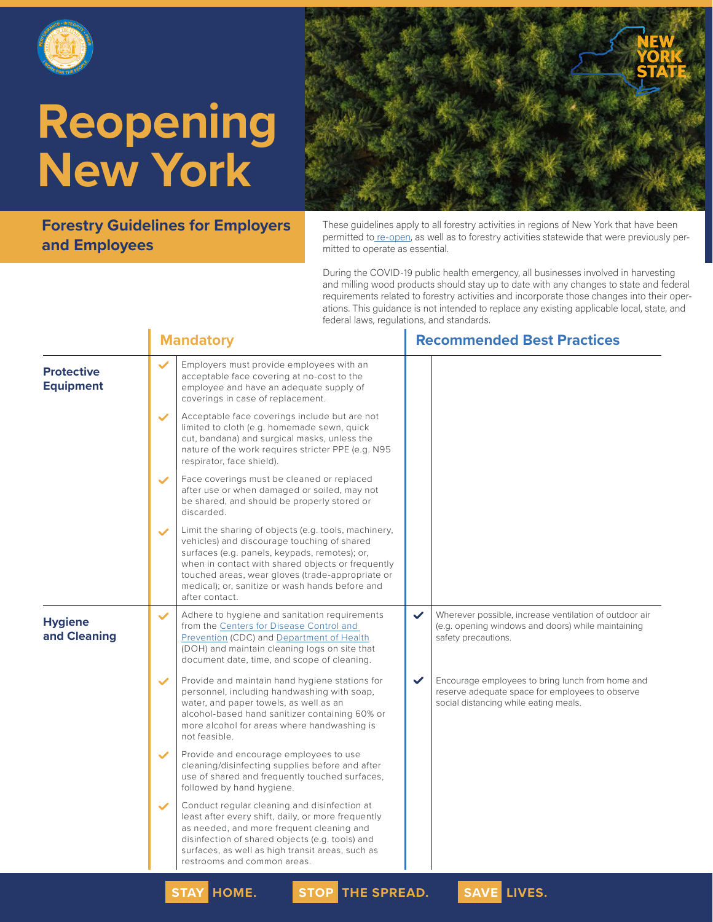



**Forestry Guidelines for Employers and Employees**

These guidelines apply to all forestry activities in regions of New York that have been permitted to [re-open,](https://forward.ny.gov/regional-monitoring-dashboard) as well as to forestry activities statewide that were previously permitted to operate as essential.

During the COVID-19 public health emergency, all businesses involved in harvesting and milling wood products should stay up to date with any changes to state and federal requirements related to forestry activities and incorporate those changes into their operations. This guidance is not intended to replace any existing applicable local, state, and federal laws, regulations, and standards.

|                                       | <b>Mandatory</b>                                                                                                                                                                                                                                                                                                                                   | <b>Recommended Best Practices</b>                                                                                                                            |
|---------------------------------------|----------------------------------------------------------------------------------------------------------------------------------------------------------------------------------------------------------------------------------------------------------------------------------------------------------------------------------------------------|--------------------------------------------------------------------------------------------------------------------------------------------------------------|
| <b>Protective</b><br><b>Equipment</b> | $\checkmark$<br>Employers must provide employees with an<br>acceptable face covering at no-cost to the<br>employee and have an adequate supply of<br>coverings in case of replacement.                                                                                                                                                             |                                                                                                                                                              |
|                                       | Acceptable face coverings include but are not<br>$\checkmark$<br>limited to cloth (e.g. homemade sewn, quick<br>cut, bandana) and surgical masks, unless the<br>nature of the work requires stricter PPE (e.g. N95<br>respirator, face shield).                                                                                                    |                                                                                                                                                              |
|                                       | Face coverings must be cleaned or replaced<br>$\checkmark$<br>after use or when damaged or soiled, may not<br>be shared, and should be properly stored or<br>discarded.                                                                                                                                                                            |                                                                                                                                                              |
|                                       | Limit the sharing of objects (e.g. tools, machinery,<br>$\checkmark$<br>vehicles) and discourage touching of shared<br>surfaces (e.g. panels, keypads, remotes); or,<br>when in contact with shared objects or frequently<br>touched areas, wear gloves (trade-appropriate or<br>medical); or, sanitize or wash hands before and<br>after contact. |                                                                                                                                                              |
| <b>Hygiene</b><br>and Cleaning        | Adhere to hygiene and sanitation requirements<br>$\checkmark$<br>from the Centers for Disease Control and<br>Prevention (CDC) and Department of Health<br>(DOH) and maintain cleaning logs on site that<br>document date, time, and scope of cleaning.                                                                                             | Wherever possible, increase ventilation of outdoor air<br>$\checkmark$<br>(e.g. opening windows and doors) while maintaining<br>safety precautions.          |
|                                       | Provide and maintain hand hygiene stations for<br>$\checkmark$<br>personnel, including handwashing with soap,<br>water, and paper towels, as well as an<br>alcohol-based hand sanitizer containing 60% or<br>more alcohol for areas where handwashing is<br>not feasible.                                                                          | $\checkmark$<br>Encourage employees to bring lunch from home and<br>reserve adequate space for employees to observe<br>social distancing while eating meals. |
|                                       | Provide and encourage employees to use<br>$\checkmark$<br>cleaning/disinfecting supplies before and after<br>use of shared and frequently touched surfaces,<br>followed by hand hygiene.                                                                                                                                                           |                                                                                                                                                              |
|                                       | Conduct regular cleaning and disinfection at<br>$\checkmark$<br>least after every shift, daily, or more frequently<br>as needed, and more frequent cleaning and<br>disinfection of shared objects (e.g. tools) and<br>surfaces, as well as high transit areas, such as<br>restrooms and common areas.                                              |                                                                                                                                                              |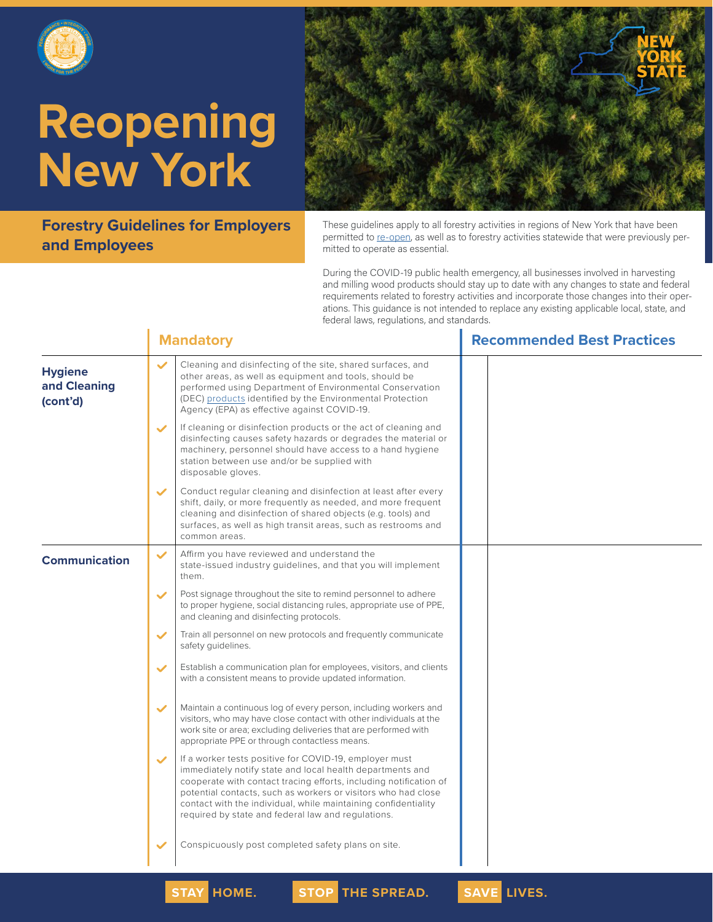



**Forestry Guidelines for Employers and Employees**

These guidelines apply to all forestry activities in regions of New York that have been permitted to [re-open,](https://forward.ny.gov/regional-monitoring-dashboard) as well as to forestry activities statewide that were previously permitted to operate as essential.

During the COVID-19 public health emergency, all businesses involved in harvesting and milling wood products should stay up to date with any changes to state and federal requirements related to forestry activities and incorporate those changes into their operations. This guidance is not intended to replace any existing applicable local, state, and federal laws, regulations, and standards.

|                                            |              | <b>Mandatory</b>                                                                                                                                                                                                                                                                                                                                                                  | <b>Recommended Best Practices</b> |
|--------------------------------------------|--------------|-----------------------------------------------------------------------------------------------------------------------------------------------------------------------------------------------------------------------------------------------------------------------------------------------------------------------------------------------------------------------------------|-----------------------------------|
| <b>Hygiene</b><br>and Cleaning<br>(cont'd) | $\checkmark$ | Cleaning and disinfecting of the site, shared surfaces, and<br>other areas, as well as equipment and tools, should be<br>performed using Department of Environmental Conservation<br>(DEC) products identified by the Environmental Protection<br>Agency (EPA) as effective against COVID-19.                                                                                     |                                   |
|                                            | $\checkmark$ | If cleaning or disinfection products or the act of cleaning and<br>disinfecting causes safety hazards or degrades the material or<br>machinery, personnel should have access to a hand hygiene<br>station between use and/or be supplied with<br>disposable gloves.                                                                                                               |                                   |
|                                            | $\checkmark$ | Conduct regular cleaning and disinfection at least after every<br>shift, daily, or more frequently as needed, and more frequent<br>cleaning and disinfection of shared objects (e.g. tools) and<br>surfaces, as well as high transit areas, such as restrooms and<br>common areas.                                                                                                |                                   |
| <b>Communication</b>                       | $\checkmark$ | Affirm you have reviewed and understand the<br>state-issued industry quidelines, and that you will implement<br>them.                                                                                                                                                                                                                                                             |                                   |
|                                            | $\checkmark$ | Post signage throughout the site to remind personnel to adhere<br>to proper hygiene, social distancing rules, appropriate use of PPE,<br>and cleaning and disinfecting protocols.                                                                                                                                                                                                 |                                   |
|                                            | $\checkmark$ | Train all personnel on new protocols and frequently communicate<br>safety guidelines.                                                                                                                                                                                                                                                                                             |                                   |
|                                            | $\checkmark$ | Establish a communication plan for employees, visitors, and clients<br>with a consistent means to provide updated information.                                                                                                                                                                                                                                                    |                                   |
|                                            | $\checkmark$ | Maintain a continuous log of every person, including workers and<br>visitors, who may have close contact with other individuals at the<br>work site or area; excluding deliveries that are performed with<br>appropriate PPE or through contactless means.                                                                                                                        |                                   |
|                                            | $\checkmark$ | If a worker tests positive for COVID-19, employer must<br>immediately notify state and local health departments and<br>cooperate with contact tracing efforts, including notification of<br>potential contacts, such as workers or visitors who had close<br>contact with the individual, while maintaining confidentiality<br>required by state and federal law and regulations. |                                   |
|                                            |              | Conspicuously post completed safety plans on site.                                                                                                                                                                                                                                                                                                                                |                                   |

**STAY HOME. STOP THE SPREAD. SAVE LIVES.**